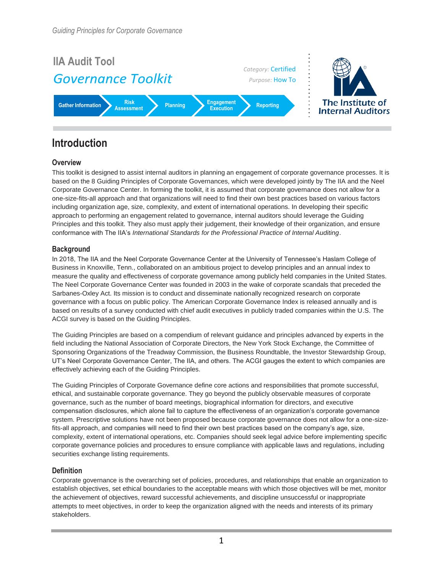

## **Introduction**

### **Overview**

This toolkit is designed to assist internal auditors in planning an engagement of corporate governance processes. It is based on the 8 Guiding Principles of Corporate Governances, which were developed jointly by The IIA and the Neel Corporate Governance Center. In forming the toolkit, it is assumed that corporate governance does not allow for a one-size-fits-all approach and that organizations will need to find their own best practices based on various factors including organization age, size, complexity, and extent of international operations. In developing their specific approach to performing an engagement related to governance, internal auditors should leverage the Guiding Principles and this toolkit. They also must apply their judgement, their knowledge of their organization, and ensure conformance with The IIA's *International Standards for the Professional Practice of Internal Auditing*.

### **Background**

In 2018, The IIA and the Neel Corporate Governance Center at the University of Tennessee's Haslam College of Business in Knoxville, Tenn., collaborated on an ambitious project to develop principles and an annual index to measure the quality and effectiveness of corporate governance among publicly held companies in the United States. The Neel Corporate Governance Center was founded in 2003 in the wake of corporate scandals that preceded the Sarbanes-Oxley Act. Its mission is to conduct and disseminate nationally recognized research on corporate governance with a focus on public policy. The American Corporate Governance Index is released annually and is based on results of a survey conducted with chief audit executives in publicly traded companies within the U.S. The ACGI survey is based on the Guiding Principles.

The Guiding Principles are based on a compendium of relevant guidance and principles advanced by experts in the field including the National Association of Corporate Directors, the New York Stock Exchange, the Committee of Sponsoring Organizations of the Treadway Commission, the Business Roundtable, the Investor Stewardship Group, UT's Neel Corporate Governance Center, The IIA, and others. The ACGI gauges the extent to which companies are effectively achieving each of the Guiding Principles.

The Guiding Principles of Corporate Governance define core actions and responsibilities that promote successful, ethical, and sustainable corporate governance. They go beyond the publicly observable measures of corporate governance, such as the number of board meetings, biographical information for directors, and executive compensation disclosures, which alone fail to capture the effectiveness of an organization's corporate governance system. Prescriptive solutions have not been proposed because corporate governance does not allow for a one-sizefits-all approach, and companies will need to find their own best practices based on the company's age, size, complexity, extent of international operations, etc. Companies should seek legal advice before implementing specific corporate governance policies and procedures to ensure compliance with applicable laws and regulations, including securities exchange listing requirements.

#### **Definition**

Corporate governance is the overarching set of policies, procedures, and relationships that enable an organization to establish objectives, set ethical boundaries to the acceptable means with which those objectives will be met, monitor the achievement of objectives, reward successful achievements, and discipline unsuccessful or inappropriate attempts to meet objectives, in order to keep the organization aligned with the needs and interests of its primary stakeholders.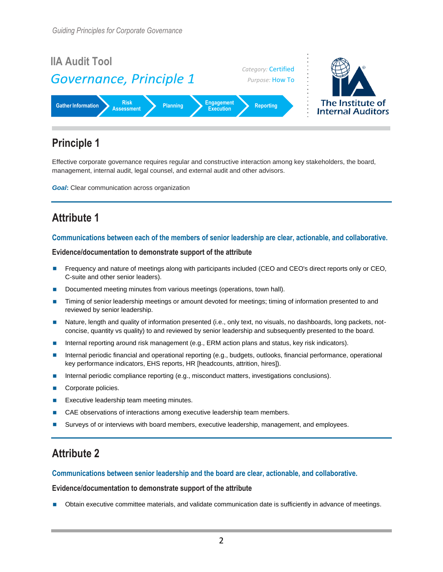

Effective corporate governance requires regular and constructive interaction among key stakeholders, the board, management, internal audit, legal counsel, and external audit and other advisors.

*Goal:* Clear communication across organization

# **Attribute 1**

### **Communications between each of the members of senior leadership are clear, actionable, and collaborative.**

#### **Evidence/documentation to demonstrate support of the attribute**

- **Frequency and nature of meetings along with participants included (CEO and CEO's direct reports only or CEO,** C-suite and other senior leaders).
- Documented meeting minutes from various meetings (operations, town hall).
- Timing of senior leadership meetings or amount devoted for meetings; timing of information presented to and reviewed by senior leadership.
- Nature, length and quality of information presented (i.e., only text, no visuals, no dashboards, long packets, notconcise, quantity vs quality) to and reviewed by senior leadership and subsequently presented to the board.
- Internal reporting around risk management (e.g., ERM action plans and status, key risk indicators).
- Internal periodic financial and operational reporting (e.g., budgets, outlooks, financial performance, operational key performance indicators, EHS reports, HR [headcounts, attrition, hires]).
- **Internal periodic compliance reporting (e.g., misconduct matters, investigations conclusions).**
- Corporate policies.
- Executive leadership team meeting minutes.
- CAE observations of interactions among executive leadership team members.
- **Surveys of or interviews with board members, executive leadership, management, and employees.**

## **Attribute 2**

#### **Communications between senior leadership and the board are clear, actionable, and collaborative.**

#### **Evidence/documentation to demonstrate support of the attribute**

Obtain executive committee materials, and validate communication date is sufficiently in advance of meetings.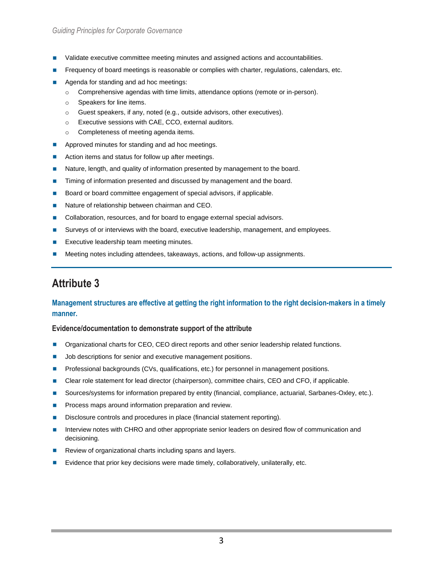- **Validate executive committee meeting minutes and assigned actions and accountabilities.**
- Frequency of board meetings is reasonable or complies with charter, regulations, calendars, etc.
- Agenda for standing and ad hoc meetings:
	- $\circ$  Comprehensive agendas with time limits, attendance options (remote or in-person).
	- o Speakers for line items.
	- o Guest speakers, if any, noted (e.g., outside advisors, other executives).
	- o Executive sessions with CAE, CCO, external auditors.
	- o Completeness of meeting agenda items.
- **Approved minutes for standing and ad hoc meetings.**
- Action items and status for follow up after meetings.
- **Nature, length, and quality of information presented by management to the board.**
- **Timing of information presented and discussed by management and the board.**
- Board or board committee engagement of special advisors, if applicable.
- Nature of relationship between chairman and CEO.
- Collaboration, resources, and for board to engage external special advisors.
- **Surveys of or interviews with the board, executive leadership, management, and employees.**
- Executive leadership team meeting minutes.
- Meeting notes including attendees, takeaways, actions, and follow-up assignments.

### **Management structures are effective at getting the right information to the right decision-makers in a timely manner.**

- **Organizational charts for CEO, CEO direct reports and other senior leadership related functions.**
- **Job descriptions for senior and executive management positions.**
- **Professional backgrounds (CVs, qualifications, etc.) for personnel in management positions.**
- **Clear role statement for lead director (chairperson), committee chairs, CEO and CFO, if applicable.**
- Sources/systems for information prepared by entity (financial, compliance, actuarial, Sarbanes-Oxley, etc.).
- **Process maps around information preparation and review.**
- Disclosure controls and procedures in place (financial statement reporting).
- Interview notes with CHRO and other appropriate senior leaders on desired flow of communication and decisioning.
- Review of organizational charts including spans and layers.
- Evidence that prior key decisions were made timely, collaboratively, unilaterally, etc.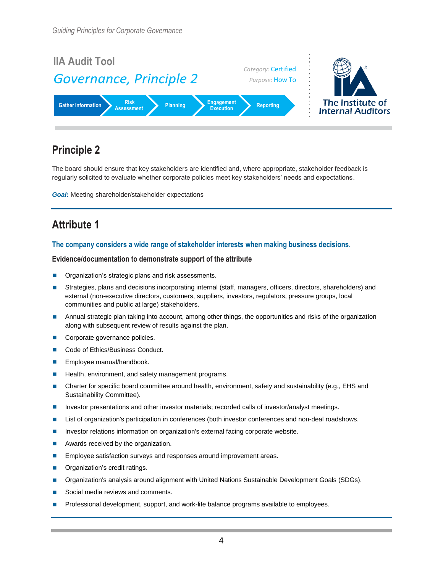

The board should ensure that key stakeholders are identified and, where appropriate, stakeholder feedback is regularly solicited to evaluate whether corporate policies meet key stakeholders' needs and expectations.

*Goal***:** Meeting shareholder/stakeholder expectations

# **Attribute 1**

### **The company considers a wide range of stakeholder interests when making business decisions.**

- Organization's strategic plans and risk assessments.
- **Strategies, plans and decisions incorporating internal (staff, managers, officers, directors, shareholders) and** external (non-executive directors, customers, suppliers, investors, regulators, pressure groups, local communities and public at large) stakeholders.
- **Annual strategic plan taking into account, among other things, the opportunities and risks of the organization** along with subsequent review of results against the plan.
- Corporate governance policies.
- Code of Ethics/Business Conduct.
- **Employee manual/handbook.**
- **Health, environment, and safety management programs.**
- Charter for specific board committee around health, environment, safety and sustainability (e.g., EHS and Sustainability Committee).
- **Investor presentations and other investor materials; recorded calls of investor/analyst meetings.**
- **List of organization's participation in conferences (both investor conferences and non-deal roadshows.**
- **Investor relations information on organization's external facing corporate website.**
- **Awards received by the organization.**
- **Employee satisfaction surveys and responses around improvement areas.**
- **Organization's credit ratings.**
- **Demographical Standards** around alignment with United Nations Sustainable Development Goals (SDGs).
- Social media reviews and comments.
- Professional development, support, and work-life balance programs available to employees.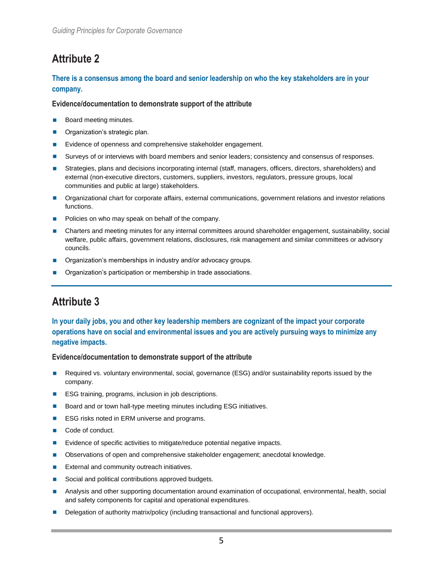### **There is a consensus among the board and senior leadership on who the key stakeholders are in your company.**

#### **Evidence/documentation to demonstrate support of the attribute**

- Board meeting minutes.
- **Organization's strategic plan.**
- Evidence of openness and comprehensive stakeholder engagement.
- Surveys of or interviews with board members and senior leaders; consistency and consensus of responses.
- Strategies, plans and decisions incorporating internal (staff, managers, officers, directors, shareholders) and external (non-executive directors, customers, suppliers, investors, regulators, pressure groups, local communities and public at large) stakeholders.
- **Organizational chart for corporate affairs, external communications, government relations and investor relations** functions.
- **Policies on who may speak on behalf of the company.**
- Charters and meeting minutes for any internal committees around shareholder engagement, sustainability, social welfare, public affairs, government relations, disclosures, risk management and similar committees or advisory councils.
- Organization's memberships in industry and/or advocacy groups.
- Organization's participation or membership in trade associations.

# **Attribute 3**

### **In your daily jobs, you and other key leadership members are cognizant of the impact your corporate operations have on social and environmental issues and you are actively pursuing ways to minimize any negative impacts.**

- Required vs. voluntary environmental, social, governance (ESG) and/or sustainability reports issued by the company.
- ESG training, programs, inclusion in job descriptions.
- Board and or town hall-type meeting minutes including ESG initiatives.
- ESG risks noted in ERM universe and programs.
- Code of conduct.
- Evidence of specific activities to mitigate/reduce potential negative impacts.
- **Dimethor State State State State Inconse** School and Computed State Chessen Conservations of open and computed s
- **External and community outreach initiatives.**
- Social and political contributions approved budgets.
- Analysis and other supporting documentation around examination of occupational, environmental, health, social and safety components for capital and operational expenditures.
- Delegation of authority matrix/policy (including transactional and functional approvers).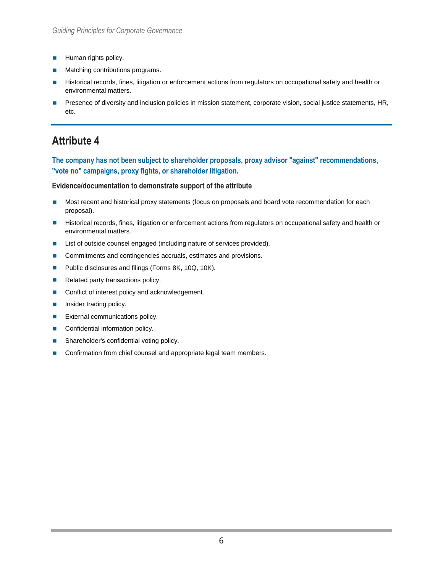- **Human rights policy.**
- Matching contributions programs.
- Historical records, fines, litigation or enforcement actions from regulators on occupational safety and health or environmental matters.
- Presence of diversity and inclusion policies in mission statement, corporate vision, social justice statements, HR, etc.

**The company has not been subject to shareholder proposals, proxy advisor "against" recommendations, "vote no" campaigns, proxy fights, or shareholder litigation.**

- Most recent and historical proxy statements (focus on proposals and board vote recommendation for each proposal).
- Historical records, fines, litigation or enforcement actions from regulators on occupational safety and health or environmental matters.
- List of outside counsel engaged (including nature of services provided).
- Commitments and contingencies accruals, estimates and provisions.
- Public disclosures and filings (Forms 8K, 10Q, 10K).
- Related party transactions policy.
- Conflict of interest policy and acknowledgement.
- **Insider trading policy.**
- **External communications policy.**
- Confidential information policy.
- **B** Shareholder's confidential voting policy.
- Confirmation from chief counsel and appropriate legal team members.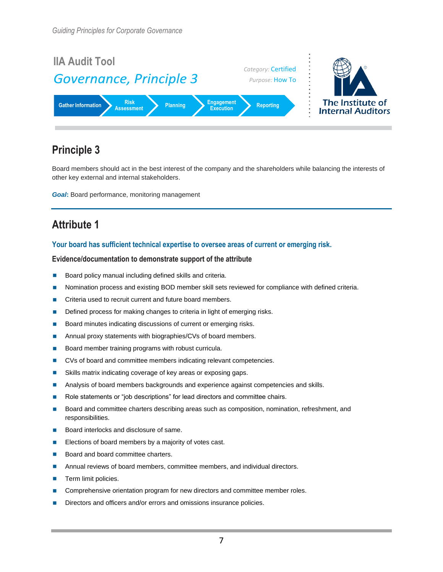

Board members should act in the best interest of the company and the shareholders while balancing the interests of other key external and internal stakeholders.

*Goal***:** Board performance, monitoring management

# **Attribute 1**

### **Your board has sufficient technical expertise to oversee areas of current or emerging risk.**

- Board policy manual including defined skills and criteria.
- **Nomination process and existing BOD member skill sets reviewed for compliance with defined criteria.**
- **Criteria used to recruit current and future board members.**
- Defined process for making changes to criteria in light of emerging risks.
- Board minutes indicating discussions of current or emerging risks.
- Annual proxy statements with biographies/CVs of board members.
- Board member training programs with robust curricula.
- CVs of board and committee members indicating relevant competencies.
- Skills matrix indicating coverage of key areas or exposing gaps.
- Analysis of board members backgrounds and experience against competencies and skills.
- Role statements or "job descriptions" for lead directors and committee chairs.
- **Board and committee charters describing areas such as composition, nomination, refreshment, and** responsibilities.
- Board interlocks and disclosure of same.
- Elections of board members by a majority of votes cast.
- Board and board committee charters.
- **Annual reviews of board members, committee members, and individual directors.**
- $\blacksquare$  Term limit policies.
- **Comprehensive orientation program for new directors and committee member roles.**
- Directors and officers and/or errors and omissions insurance policies.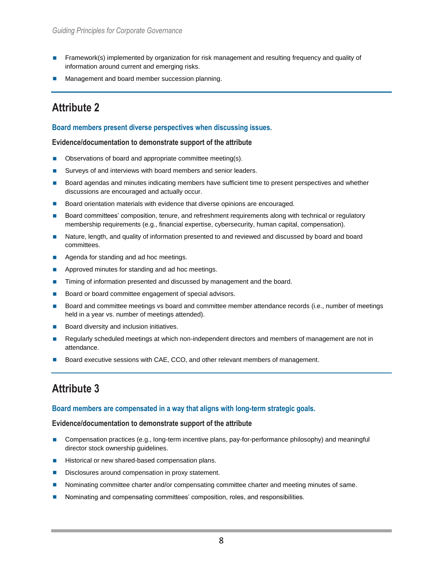- **Framework(s) implemented by organization for risk management and resulting frequency and quality of** information around current and emerging risks.
- Management and board member succession planning.

#### **Board members present diverse perspectives when discussing issues.**

#### **Evidence/documentation to demonstrate support of the attribute**

- **D** Observations of board and appropriate committee meeting(s).
- Surveys of and interviews with board members and senior leaders.
- **Board agendas and minutes indicating members have sufficient time to present perspectives and whether** discussions are encouraged and actually occur.
- Board orientation materials with evidence that diverse opinions are encouraged.
- Board committees' composition, tenure, and refreshment requirements along with technical or regulatory membership requirements (e.g., financial expertise, cybersecurity, human capital, compensation).
- Nature, length, and quality of information presented to and reviewed and discussed by board and board committees.
- Agenda for standing and ad hoc meetings.
- **Approved minutes for standing and ad hoc meetings.**
- Timing of information presented and discussed by management and the board.
- Board or board committee engagement of special advisors.
- **Board and committee meetings vs board and committee member attendance records (i.e., number of meetings** held in a year vs. number of meetings attended).
- Board diversity and inclusion initiatives.
- Regularly scheduled meetings at which non-independent directors and members of management are not in attendance.
- Board executive sessions with CAE, CCO, and other relevant members of management.

## **Attribute 3**

#### **Board members are compensated in a way that aligns with long-term strategic goals.**

- **Compensation practices (e.g., long-term incentive plans, pay-for-performance philosophy) and meaningful** director stock ownership guidelines.
- Historical or new shared-based compensation plans.
- Disclosures around compensation in proxy statement.
- Nominating committee charter and/or compensating committee charter and meeting minutes of same.
- Nominating and compensating committees' composition, roles, and responsibilities.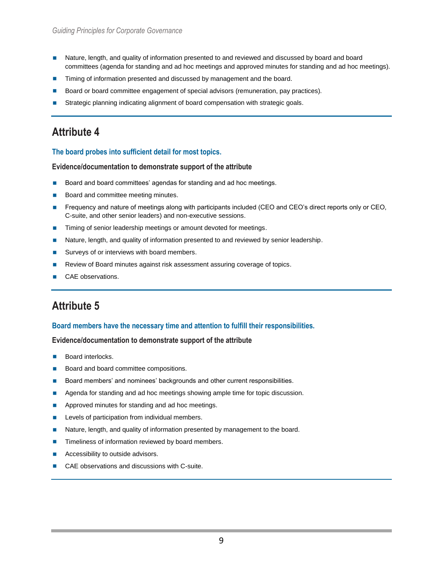- Nature, length, and quality of information presented to and reviewed and discussed by board and board committees (agenda for standing and ad hoc meetings and approved minutes for standing and ad hoc meetings).
- Timing of information presented and discussed by management and the board.
- Board or board committee engagement of special advisors (remuneration, pay practices).
- Strategic planning indicating alignment of board compensation with strategic goals.

#### **The board probes into sufficient detail for most topics.**

#### **Evidence/documentation to demonstrate support of the attribute**

- Board and board committees' agendas for standing and ad hoc meetings.
- Board and committee meeting minutes.
- **Frequency and nature of meetings along with participants included (CEO and CEO's direct reports only or CEO,** C-suite, and other senior leaders) and non-executive sessions.
- **Timing of senior leadership meetings or amount devoted for meetings.**
- Nature, length, and quality of information presented to and reviewed by senior leadership.
- Surveys of or interviews with board members.
- Review of Board minutes against risk assessment assuring coverage of topics.
- CAE observations.

## **Attribute 5**

#### **Board members have the necessary time and attention to fulfill their responsibilities.**

- **Board interlocks.**
- Board and board committee compositions.
- Board members' and nominees' backgrounds and other current responsibilities.
- Agenda for standing and ad hoc meetings showing ample time for topic discussion.
- **Approved minutes for standing and ad hoc meetings.**
- **Levels of participation from individual members.**
- Nature, length, and quality of information presented by management to the board.
- **Timeliness of information reviewed by board members.**
- Accessibility to outside advisors.
- CAE observations and discussions with C-suite.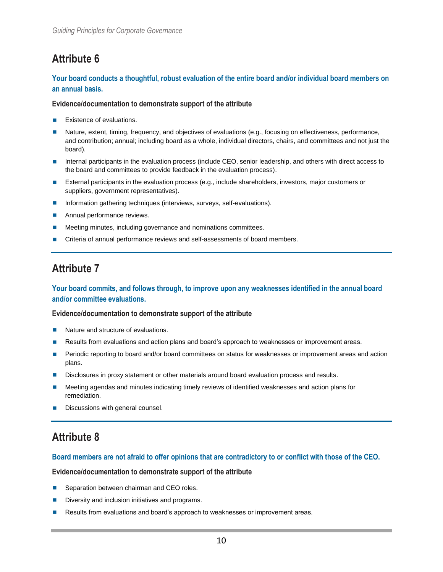### **Your board conducts a thoughtful, robust evaluation of the entire board and/or individual board members on an annual basis.**

#### **Evidence/documentation to demonstrate support of the attribute**

- Existence of evaluations.
- Nature, extent, timing, frequency, and objectives of evaluations (e.g., focusing on effectiveness, performance, and contribution; annual; including board as a whole, individual directors, chairs, and committees and not just the board).
- Internal participants in the evaluation process (include CEO, senior leadership, and others with direct access to the board and committees to provide feedback in the evaluation process).
- External participants in the evaluation process (e.g., include shareholders, investors, major customers or suppliers, government representatives).
- **Information gathering techniques (interviews, surveys, self-evaluations).**
- **Annual performance reviews.**
- **Meeting minutes, including governance and nominations committees.**
- **The Criteria of annual performance reviews and self-assessments of board members.**

## **Attribute 7**

### **Your board commits, and follows through, to improve upon any weaknesses identified in the annual board and/or committee evaluations.**

#### **Evidence/documentation to demonstrate support of the attribute**

- Nature and structure of evaluations.
- Results from evaluations and action plans and board's approach to weaknesses or improvement areas.
- Periodic reporting to board and/or board committees on status for weaknesses or improvement areas and action plans.
- Disclosures in proxy statement or other materials around board evaluation process and results.
- Meeting agendas and minutes indicating timely reviews of identified weaknesses and action plans for remediation.
- Discussions with general counsel.

# **Attribute 8**

#### **Board members are not afraid to offer opinions that are contradictory to or conflict with those of the CEO.**

- Separation between chairman and CEO roles.
- Diversity and inclusion initiatives and programs.
- Results from evaluations and board's approach to weaknesses or improvement areas.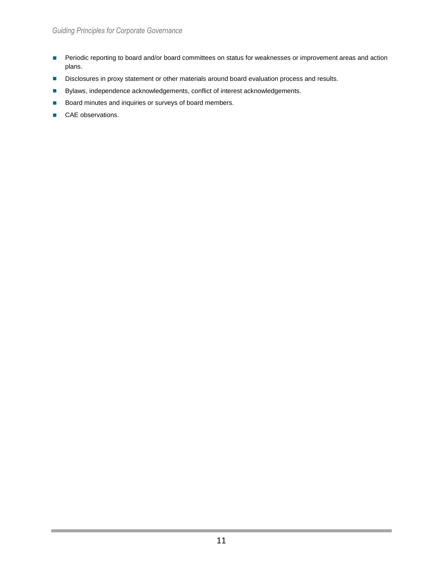- **Periodic reporting to board and/or board committees on status for weaknesses or improvement areas and action** plans.
- Disclosures in proxy statement or other materials around board evaluation process and results.
- Bylaws, independence acknowledgements, conflict of interest acknowledgements.
- Board minutes and inquiries or surveys of board members.
- CAE observations.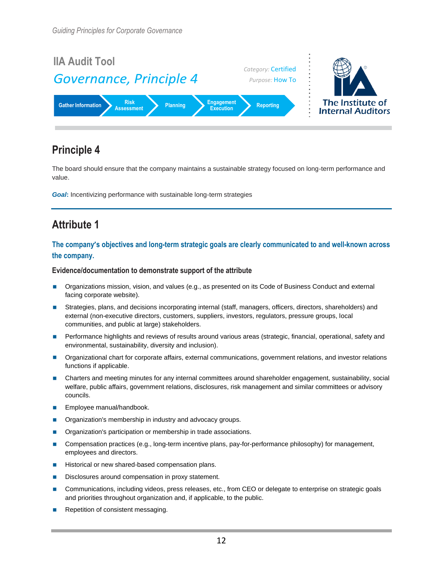

The board should ensure that the company maintains a sustainable strategy focused on long-term performance and value.

*Goal:* Incentivizing performance with sustainable long-term strategies

# **Attribute 1**

### **The company's objectives and long-term strategic goals are clearly communicated to and well-known across the company.**

- **Organizations mission, vision, and values (e.g., as presented on its Code of Business Conduct and external** facing corporate website).
- Strategies, plans, and decisions incorporating internal (staff, managers, officers, directors, shareholders) and external (non-executive directors, customers, suppliers, investors, regulators, pressure groups, local communities, and public at large) stakeholders.
- **Performance highlights and reviews of results around various areas (strategic, financial, operational, safety and** environmental, sustainability, diversity and inclusion).
- **Organizational chart for corporate affairs, external communications, government relations, and investor relations** functions if applicable.
- **Charters and meeting minutes for any internal committees around shareholder engagement, sustainability, social** welfare, public affairs, government relations, disclosures, risk management and similar committees or advisory councils.
- **Employee manual/handbook.**
- Organization's membership in industry and advocacy groups.
- **Organization's participation or membership in trade associations.**
- **Compensation practices (e.g., long-term incentive plans, pay-for-performance philosophy) for management,** employees and directors.
- Historical or new shared-based compensation plans.
- Disclosures around compensation in proxy statement.
- **Communications, including videos, press releases, etc., from CEO or delegate to enterprise on strategic goals** and priorities throughout organization and, if applicable, to the public.
- Repetition of consistent messaging.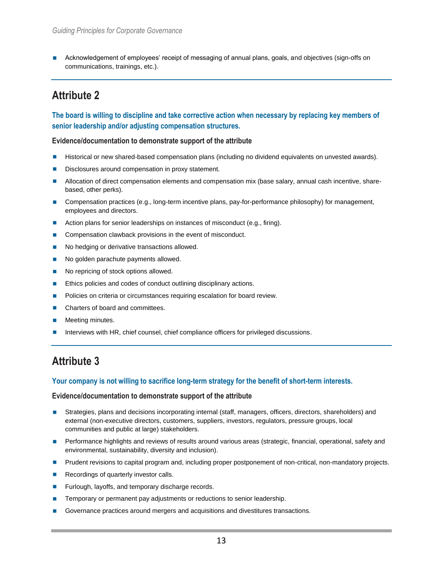Acknowledgement of employees' receipt of messaging of annual plans, goals, and objectives (sign-offs on communications, trainings, etc.).

## **Attribute 2**

**The board is willing to discipline and take corrective action when necessary by replacing key members of senior leadership and/or adjusting compensation structures.**

#### **Evidence/documentation to demonstrate support of the attribute**

- **Historical or new shared-based compensation plans (including no dividend equivalents on unvested awards).**
- Disclosures around compensation in proxy statement.
- Allocation of direct compensation elements and compensation mix (base salary, annual cash incentive, sharebased, other perks).
- **Compensation practices (e.g., long-term incentive plans, pay-for-performance philosophy) for management,** employees and directors.
- Action plans for senior leaderships on instances of misconduct (e.g., firing).
- Compensation clawback provisions in the event of misconduct.
- No hedging or derivative transactions allowed.
- No golden parachute payments allowed.
- No repricing of stock options allowed.
- **Ethics policies and codes of conduct outlining disciplinary actions.**
- **Policies on criteria or circumstances requiring escalation for board review.**
- Charters of board and committees.
- Meeting minutes.
- Interviews with HR, chief counsel, chief compliance officers for privileged discussions.

## **Attribute 3**

#### **Your company is not willing to sacrifice long-term strategy for the benefit of short-term interests.**

- Strategies, plans and decisions incorporating internal (staff, managers, officers, directors, shareholders) and external (non-executive directors, customers, suppliers, investors, regulators, pressure groups, local communities and public at large) stakeholders.
- **Performance highlights and reviews of results around various areas (strategic, financial, operational, safety and** environmental, sustainability, diversity and inclusion).
- **Prudent revisions to capital program and, including proper postponement of non-critical, non-mandatory projects.**
- Recordings of quarterly investor calls.
- **Furlough, layoffs, and temporary discharge records.**
- Temporary or permanent pay adjustments or reductions to senior leadership.
- Governance practices around mergers and acquisitions and divestitures transactions.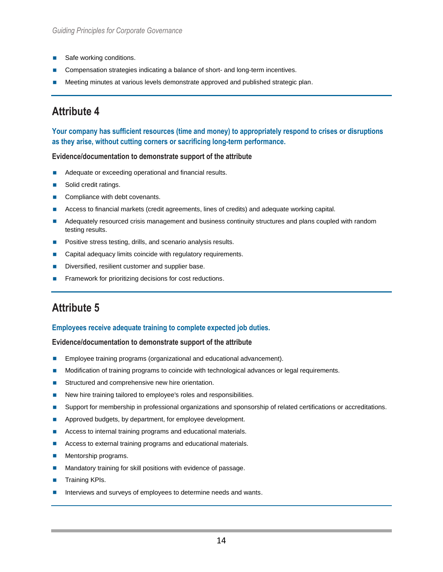- Safe working conditions.
- Compensation strategies indicating a balance of short- and long-term incentives.
- Meeting minutes at various levels demonstrate approved and published strategic plan.

**Your company has sufficient resources (time and money) to appropriately respond to crises or disruptions as they arise, without cutting corners or sacrificing long-term performance.**

#### **Evidence/documentation to demonstrate support of the attribute**

- Adequate or exceeding operational and financial results.
- Solid credit ratings.
- Compliance with debt covenants.
- **Access to financial markets (credit agreements, lines of credits) and adequate working capital.**
- Adequately resourced crisis management and business continuity structures and plans coupled with random testing results.
- Positive stress testing, drills, and scenario analysis results.
- **Capital adequacy limits coincide with regulatory requirements.**
- Diversified, resilient customer and supplier base.
- Framework for prioritizing decisions for cost reductions.

## **Attribute 5**

### **Employees receive adequate training to complete expected job duties.**

- **Employee training programs (organizational and educational advancement).**
- **Modification of training programs to coincide with technological advances or legal requirements.**
- Structured and comprehensive new hire orientation.
- New hire training tailored to employee's roles and responsibilities.
- **Support for membership in professional organizations and sponsorship of related certifications or accreditations.**
- **Approved budgets, by department, for employee development.**
- Access to internal training programs and educational materials.
- Access to external training programs and educational materials.
- **Mentorship programs.**
- **Mandatory training for skill positions with evidence of passage.**
- Training KPIs.
- Interviews and surveys of employees to determine needs and wants.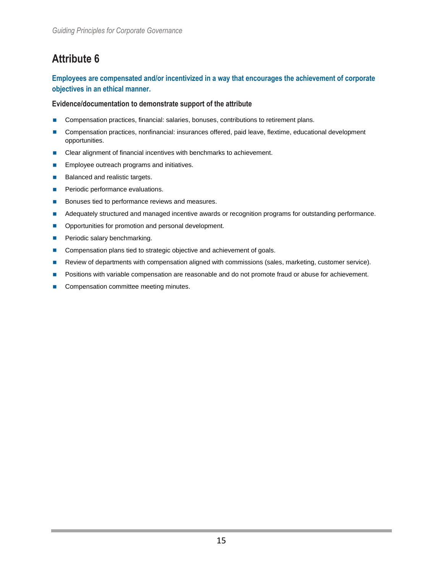### **Employees are compensated and/or incentivized in a way that encourages the achievement of corporate objectives in an ethical manner.**

- Compensation practices, financial: salaries, bonuses, contributions to retirement plans.
- **Compensation practices, nonfinancial: insurances offered, paid leave, flextime, educational development** opportunities.
- Clear alignment of financial incentives with benchmarks to achievement.
- **Employee outreach programs and initiatives.**
- Balanced and realistic targets.
- **Periodic performance evaluations.**
- Bonuses tied to performance reviews and measures.
- Adequately structured and managed incentive awards or recognition programs for outstanding performance.
- **Opportunities for promotion and personal development.**
- **Periodic salary benchmarking.**
- Compensation plans tied to strategic objective and achievement of goals.
- Review of departments with compensation aligned with commissions (sales, marketing, customer service).
- **Positions with variable compensation are reasonable and do not promote fraud or abuse for achievement.**
- Compensation committee meeting minutes.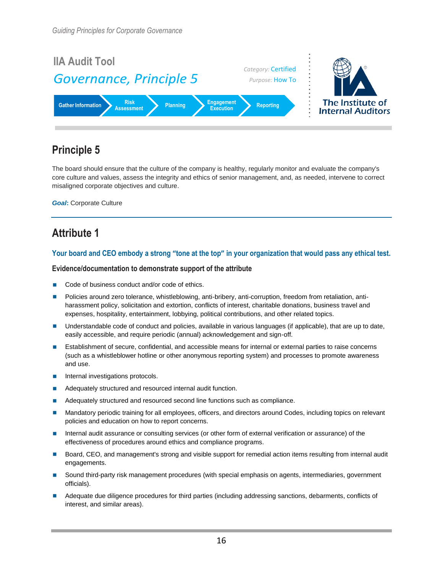

The board should ensure that the culture of the company is healthy, regularly monitor and evaluate the company's core culture and values, assess the integrity and ethics of senior management, and, as needed, intervene to correct misaligned corporate objectives and culture.

*Goal***:** Corporate Culture

## **Attribute 1**

### **Your board and CEO embody a strong "tone at the top" in your organization that would pass any ethical test.**

- Code of business conduct and/or code of ethics.
- **Policies around zero tolerance, whistleblowing, anti-bribery, anti-corruption, freedom from retaliation, anti**harassment policy, solicitation and extortion, conflicts of interest, charitable donations, business travel and expenses, hospitality, entertainment, lobbying, political contributions, and other related topics.
- Understandable code of conduct and policies, available in various languages (if applicable), that are up to date, easily accessible, and require periodic (annual) acknowledgement and sign-off.
- Establishment of secure, confidential, and accessible means for internal or external parties to raise concerns (such as a whistleblower hotline or other anonymous reporting system) and processes to promote awareness and use.
- **Internal investigations protocols.**
- **Adequately structured and resourced internal audit function.**
- Adequately structured and resourced second line functions such as compliance.
- Mandatory periodic training for all employees, officers, and directors around Codes, including topics on relevant policies and education on how to report concerns.
- Internal audit assurance or consulting services (or other form of external verification or assurance) of the effectiveness of procedures around ethics and compliance programs.
- Board, CEO, and management's strong and visible support for remedial action items resulting from internal audit engagements.
- Sound third-party risk management procedures (with special emphasis on agents, intermediaries, government officials).
- Adequate due diligence procedures for third parties (including addressing sanctions, debarments, conflicts of interest, and similar areas).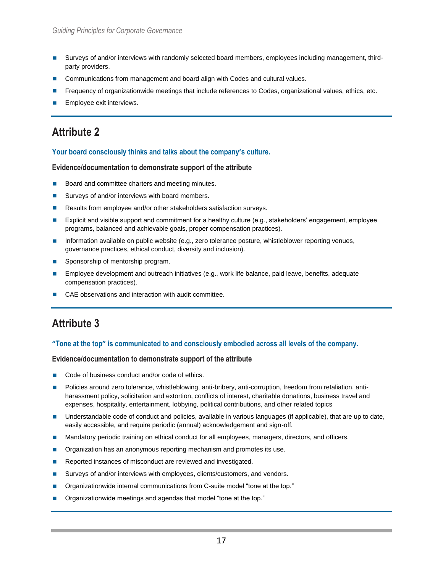- Surveys of and/or interviews with randomly selected board members, employees including management, thirdparty providers.
- Communications from management and board align with Codes and cultural values.
- Frequency of organizationwide meetings that include references to Codes, organizational values, ethics, etc.
- Employee exit interviews.

#### **Your board consciously thinks and talks about the company's culture.**

#### **Evidence/documentation to demonstrate support of the attribute**

- Board and committee charters and meeting minutes.
- Surveys of and/or interviews with board members.
- Results from employee and/or other stakeholders satisfaction surveys.
- Explicit and visible support and commitment for a healthy culture (e.g., stakeholders' engagement, employee programs, balanced and achievable goals, proper compensation practices).
- Information available on public website (e.g., zero tolerance posture, whistleblower reporting venues, governance practices, ethical conduct, diversity and inclusion).
- Sponsorship of mentorship program.
- **Employee development and outreach initiatives (e.g., work life balance, paid leave, benefits, adequate** compensation practices).
- CAE observations and interaction with audit committee.

## **Attribute 3**

#### **"Tone at the top" is communicated to and consciously embodied across all levels of the company.**

- Code of business conduct and/or code of ethics.
- Policies around zero tolerance, whistleblowing, anti-bribery, anti-corruption, freedom from retaliation, antiharassment policy, solicitation and extortion, conflicts of interest, charitable donations, business travel and expenses, hospitality, entertainment, lobbying, political contributions, and other related topics
- **Inderstandable code of conduct and policies, available in various languages (if applicable), that are up to date,** easily accessible, and require periodic (annual) acknowledgement and sign-off.
- **Mandatory periodic training on ethical conduct for all employees, managers, directors, and officers.**
- **Dimes-** Organization has an anonymous reporting mechanism and promotes its use.
- Reported instances of misconduct are reviewed and investigated.
- **Surveys of and/or interviews with employees, clients/customers, and vendors.**
- Organizationwide internal communications from C-suite model "tone at the top."
- Organizationwide meetings and agendas that model "tone at the top."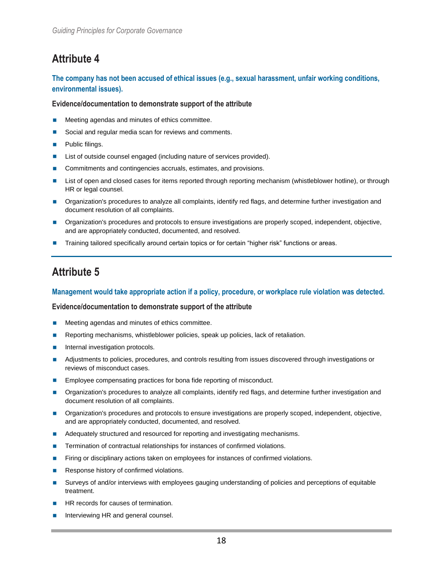### **The company has not been accused of ethical issues (e.g., sexual harassment, unfair working conditions, environmental issues).**

#### **Evidence/documentation to demonstrate support of the attribute**

- Meeting agendas and minutes of ethics committee.
- Social and regular media scan for reviews and comments.
- **Public filings.**
- List of outside counsel engaged (including nature of services provided).
- Commitments and contingencies accruals, estimates, and provisions.
- **List of open and closed cases for items reported through reporting mechanism (whistleblower hotline), or through** HR or legal counsel.
- **Organization's procedures to analyze all complaints, identify red flags, and determine further investigation and** document resolution of all complaints.
- **Organization's procedures and protocols to ensure investigations are properly scoped, independent, objective,** and are appropriately conducted, documented, and resolved.
- Training tailored specifically around certain topics or for certain "higher risk" functions or areas.

## **Attribute 5**

### **Management would take appropriate action if a policy, procedure, or workplace rule violation was detected.**

- **Meeting agendas and minutes of ethics committee.**
- Reporting mechanisms, whistleblower policies, speak up policies, lack of retaliation.
- Internal investigation protocols.
- Adjustments to policies, procedures, and controls resulting from issues discovered through investigations or reviews of misconduct cases.
- Employee compensating practices for bona fide reporting of misconduct.
- Organization's procedures to analyze all complaints, identify red flags, and determine further investigation and document resolution of all complaints.
- **Organization's procedures and protocols to ensure investigations are properly scoped, independent, objective,** and are appropriately conducted, documented, and resolved.
- Adequately structured and resourced for reporting and investigating mechanisms.
- **Termination of contractual relationships for instances of confirmed violations.**
- Firing or disciplinary actions taken on employees for instances of confirmed violations.
- Response history of confirmed violations.
- Surveys of and/or interviews with employees gauging understanding of policies and perceptions of equitable treatment.
- HR records for causes of termination.
- Interviewing HR and general counsel.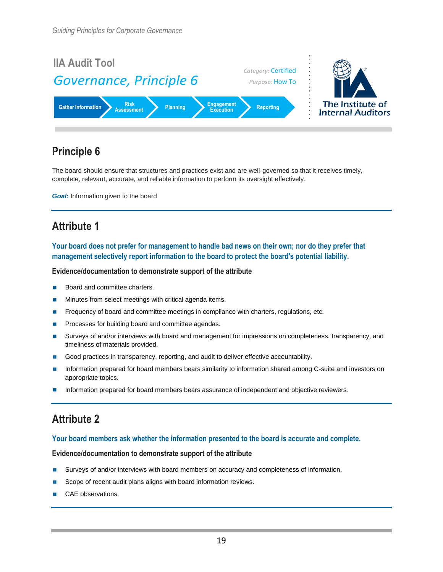

The board should ensure that structures and practices exist and are well-governed so that it receives timely, complete, relevant, accurate, and reliable information to perform its oversight effectively.

*Goal***:** Information given to the board

## **Attribute 1**

**Your board does not prefer for management to handle bad news on their own; nor do they prefer that management selectively report information to the board to protect the board's potential liability.**

#### **Evidence/documentation to demonstrate support of the attribute**

- Board and committee charters.
- Minutes from select meetings with critical agenda items.
- **Figure 1** Frequency of board and committee meetings in compliance with charters, regulations, etc.
- Processes for building board and committee agendas.
- **Surveys of and/or interviews with board and management for impressions on completeness, transparency, and** timeliness of materials provided.
- Good practices in transparency, reporting, and audit to deliver effective accountability.
- Information prepared for board members bears similarity to information shared among C-suite and investors on appropriate topics.
- Information prepared for board members bears assurance of independent and objective reviewers.

# **Attribute 2**

#### **Your board members ask whether the information presented to the board is accurate and complete.**

- Surveys of and/or interviews with board members on accuracy and completeness of information.
- Scope of recent audit plans aligns with board information reviews.
- CAE observations.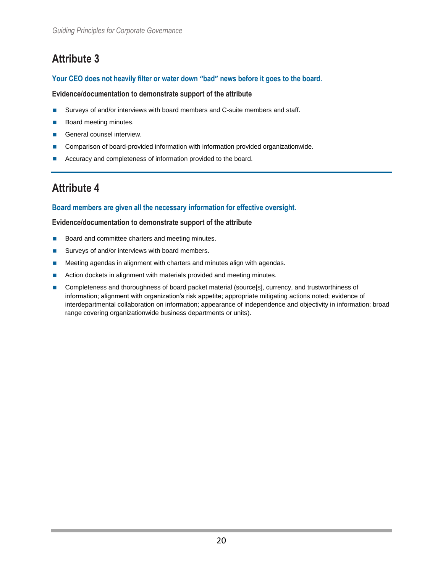### **Your CEO does not heavily filter or water down "bad" news before it goes to the board.**

### **Evidence/documentation to demonstrate support of the attribute**

- Surveys of and/or interviews with board members and C-suite members and staff.
- **Board meeting minutes.**
- General counsel interview.
- **Comparison of board-provided information with information provided organizationwide.**
- **Accuracy and completeness of information provided to the board.**

## **Attribute 4**

### **Board members are given all the necessary information for effective oversight.**

- Board and committee charters and meeting minutes.
- Surveys of and/or interviews with board members.
- **Meeting agendas in alignment with charters and minutes align with agendas.**
- Action dockets in alignment with materials provided and meeting minutes.
- **Completeness and thoroughness of board packet material (source[s], currency, and trustworthiness of** information; alignment with organization's risk appetite; appropriate mitigating actions noted; evidence of interdepartmental collaboration on information; appearance of independence and objectivity in information; broad range covering organizationwide business departments or units).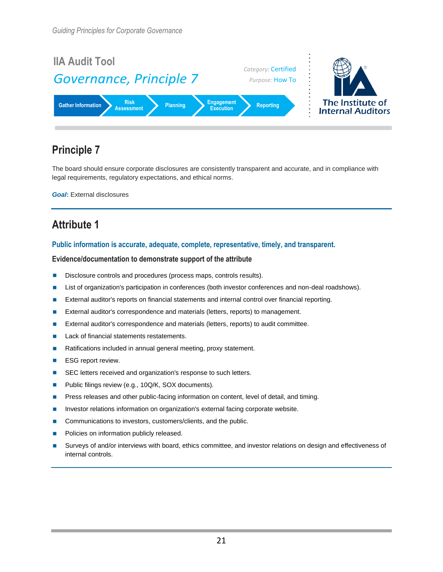

The board should ensure corporate disclosures are consistently transparent and accurate, and in compliance with legal requirements, regulatory expectations, and ethical norms.

*Goal***:** External disclosures

# **Attribute 1**

#### **Public information is accurate, adequate, complete, representative, timely, and transparent.**

- Disclosure controls and procedures (process maps, controls results).
- **List of organization's participation in conferences (both investor conferences and non-deal roadshows).**
- **External auditor's reports on financial statements and internal control over financial reporting.**
- **External auditor's correspondence and materials (letters, reports) to management.**
- External auditor's correspondence and materials (letters, reports) to audit committee.
- Lack of financial statements restatements.
- Ratifications included in annual general meeting, proxy statement.
- **ESG report review.**
- SEC letters received and organization's response to such letters.
- **Public filings review (e.g., 10Q/K, SOX documents).**
- **Phess releases and other public-facing information on content, level of detail, and timing.**
- **Investor relations information on organization's external facing corporate website.**
- Communications to investors, customers/clients, and the public.
- Policies on information publicly released.
- Surveys of and/or interviews with board, ethics committee, and investor relations on design and effectiveness of internal controls.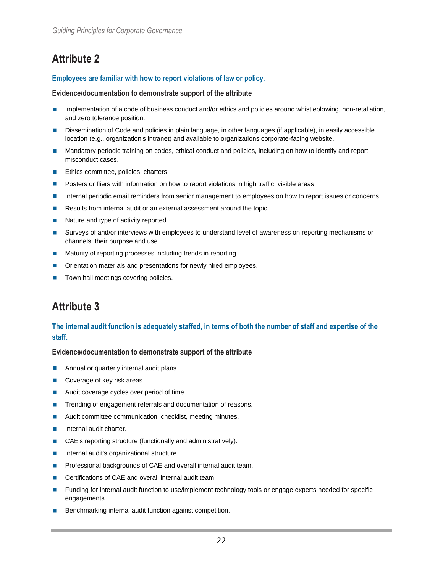### **Employees are familiar with how to report violations of law or policy.**

#### **Evidence/documentation to demonstrate support of the attribute**

- Implementation of a code of business conduct and/or ethics and policies around whistleblowing, non-retaliation, and zero tolerance position.
- Dissemination of Code and policies in plain language, in other languages (if applicable), in easily accessible location (e.g., organization's intranet) and available to organizations corporate-facing website.
- Mandatory periodic training on codes, ethical conduct and policies, including on how to identify and report misconduct cases.
- **Ethics committee, policies, charters.**
- **Posters or fliers with information on how to report violations in high traffic, visible areas.**
- **Internal periodic email reminders from senior management to employees on how to report issues or concerns.**
- Results from internal audit or an external assessment around the topic.
- Nature and type of activity reported.
- Surveys of and/or interviews with employees to understand level of awareness on reporting mechanisms or channels, their purpose and use.
- Maturity of reporting processes including trends in reporting.
- Orientation materials and presentations for newly hired employees.
- Town hall meetings covering policies.

# **Attribute 3**

### **The internal audit function is adequately staffed, in terms of both the number of staff and expertise of the staff.**

- **Annual or quarterly internal audit plans.**
- Coverage of key risk areas.
- Audit coverage cycles over period of time.
- **Trending of engagement referrals and documentation of reasons.**
- **Audit committee communication, checklist, meeting minutes.**
- Internal audit charter.
- CAE's reporting structure (functionally and administratively).
- **Internal audit's organizational structure.**
- **Professional backgrounds of CAE and overall internal audit team.**
- Certifications of CAE and overall internal audit team.
- Funding for internal audit function to use/implement technology tools or engage experts needed for specific engagements.
- Benchmarking internal audit function against competition.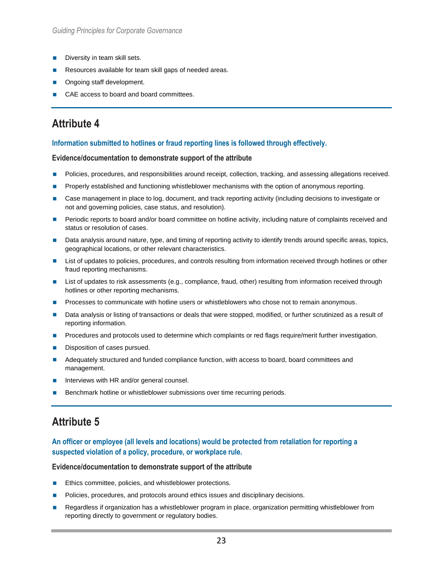- $\blacksquare$  Diversity in team skill sets.
- Resources available for team skill gaps of needed areas.
- Ongoing staff development.
- CAE access to board and board committees.

### **Information submitted to hotlines or fraud reporting lines is followed through effectively.**

#### **Evidence/documentation to demonstrate support of the attribute**

- **Policies, procedures, and responsibilities around receipt, collection, tracking, and assessing allegations received.**
- Properly established and functioning whistleblower mechanisms with the option of anonymous reporting.
- Case management in place to log, document, and track reporting activity (including decisions to investigate or not and governing policies, case status, and resolution).
- Periodic reports to board and/or board committee on hotline activity, including nature of complaints received and status or resolution of cases.
- Data analysis around nature, type, and timing of reporting activity to identify trends around specific areas, topics, geographical locations, or other relevant characteristics.
- List of updates to policies, procedures, and controls resulting from information received through hotlines or other fraud reporting mechanisms.
- **List of updates to risk assessments (e.g., compliance, fraud, other) resulting from information received through** hotlines or other reporting mechanisms.
- **Processes to communicate with hotline users or whistleblowers who chose not to remain anonymous.**
- Data analysis or listing of transactions or deals that were stopped, modified, or further scrutinized as a result of reporting information.
- Procedures and protocols used to determine which complaints or red flags require/merit further investigation.
- Disposition of cases pursued.
- **Adequately structured and funded compliance function, with access to board, board committees and** management.
- Interviews with HR and/or general counsel.
- Benchmark hotline or whistleblower submissions over time recurring periods.

## **Attribute 5**

### **An officer or employee (all levels and locations) would be protected from retaliation for reporting a suspected violation of a policy, procedure, or workplace rule.**

- Ethics committee, policies, and whistleblower protections.
- **Policies, procedures, and protocols around ethics issues and disciplinary decisions.**
- Regardless if organization has a whistleblower program in place, organization permitting whistleblower from reporting directly to government or regulatory bodies.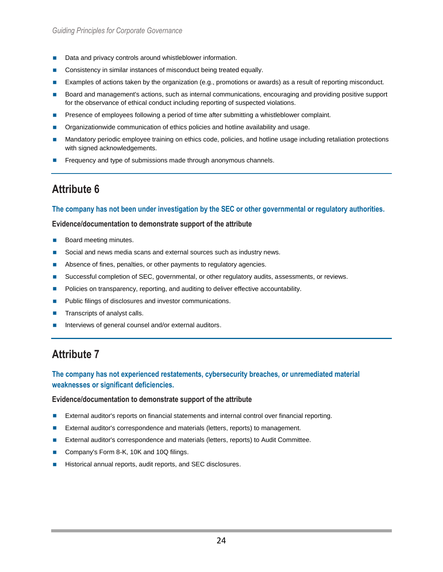- Data and privacy controls around whistleblower information.
- **Consistency in similar instances of misconduct being treated equally.**
- **Examples of actions taken by the organization (e.g., promotions or awards) as a result of reporting misconduct.**
- Board and management's actions, such as internal communications, encouraging and providing positive support for the observance of ethical conduct including reporting of suspected violations.
- Presence of employees following a period of time after submitting a whistleblower complaint.
- Organizationwide communication of ethics policies and hotline availability and usage.
- Mandatory periodic employee training on ethics code, policies, and hotline usage including retaliation protections with signed acknowledgements.
- Frequency and type of submissions made through anonymous channels.

#### **The company has not been under investigation by the SEC or other governmental or regulatory authorities.**

#### **Evidence/documentation to demonstrate support of the attribute**

- Board meeting minutes.
- Social and news media scans and external sources such as industry news.
- Absence of fines, penalties, or other payments to regulatory agencies.
- **Successful completion of SEC, governmental, or other regulatory audits, assessments, or reviews.**
- **Policies on transparency, reporting, and auditing to deliver effective accountability.**
- **Public filings of disclosures and investor communications.**
- $\blacksquare$  Transcripts of analyst calls.
- Interviews of general counsel and/or external auditors.

## **Attribute 7**

### **The company has not experienced restatements, cybersecurity breaches, or unremediated material weaknesses or significant deficiencies.**

- **External auditor's reports on financial statements and internal control over financial reporting.**
- External auditor's correspondence and materials (letters, reports) to management.
- External auditor's correspondence and materials (letters, reports) to Audit Committee.
- Company's Form 8-K, 10K and 10Q filings.
- Historical annual reports, audit reports, and SEC disclosures.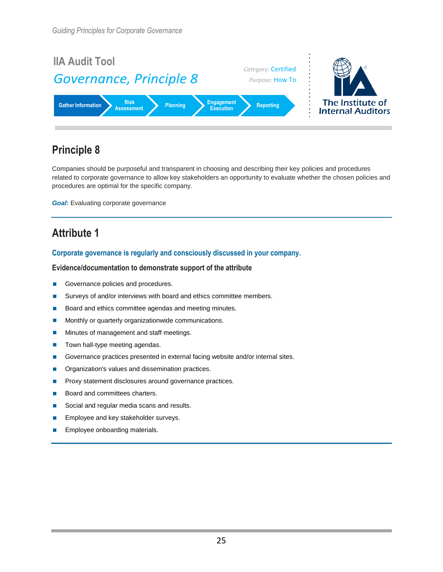

Companies should be purposeful and transparent in choosing and describing their key policies and procedures related to corporate governance to allow key stakeholders an opportunity to evaluate whether the chosen policies and procedures are optimal for the specific company.

*Goal*: Evaluating corporate governance

## **Attribute 1**

#### **Corporate governance is regularly and consciously discussed in your company.**

- Governance policies and procedures.
- Surveys of and/or interviews with board and ethics committee members.
- Board and ethics committee agendas and meeting minutes.
- **Monthly or quarterly organizationwide communications.**
- **Minutes of management and staff meetings.**
- Town hall-type meeting agendas.
- Governance practices presented in external facing website and/or internal sites.
- **Organization's values and dissemination practices.**
- **Proxy statement disclosures around governance practices.**
- Board and committees charters.
- Social and regular media scans and results.
- Employee and key stakeholder surveys.
- **Employee onboarding materials.**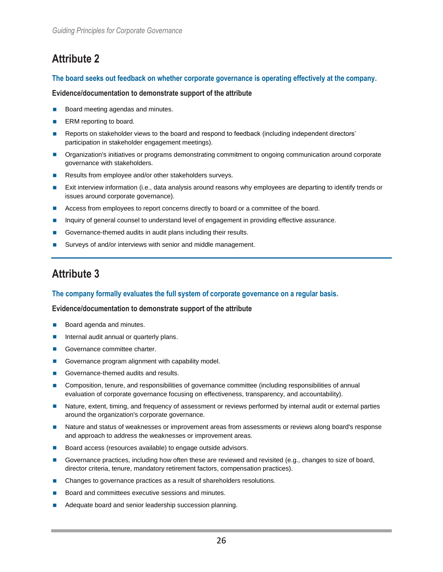### **The board seeks out feedback on whether corporate governance is operating effectively at the company.**

#### **Evidence/documentation to demonstrate support of the attribute**

- Board meeting agendas and minutes.
- $\blacksquare$  ERM reporting to board.
- Reports on stakeholder views to the board and respond to feedback (including independent directors' participation in stakeholder engagement meetings).
- Organization's initiatives or programs demonstrating commitment to ongoing communication around corporate governance with stakeholders.
- Results from employee and/or other stakeholders surveys.
- **Exit interview information (i.e., data analysis around reasons why employees are departing to identify trends or** issues around corporate governance).
- Access from employees to report concerns directly to board or a committee of the board.
- **Inquiry of general counsel to understand level of engagement in providing effective assurance.**
- Governance-themed audits in audit plans including their results.
- Surveys of and/or interviews with senior and middle management.

## **Attribute 3**

### **The company formally evaluates the full system of corporate governance on a regular basis.**

- **Board agenda and minutes.**
- **Internal audit annual or quarterly plans.**
- Governance committee charter.
- Governance program alignment with capability model.
- Governance-themed audits and results.
- Composition, tenure, and responsibilities of governance committee (including responsibilities of annual evaluation of corporate governance focusing on effectiveness, transparency, and accountability).
- Nature, extent, timing, and frequency of assessment or reviews performed by internal audit or external parties around the organization's corporate governance.
- Nature and status of weaknesses or improvement areas from assessments or reviews along board's response and approach to address the weaknesses or improvement areas.
- Board access (resources available) to engage outside advisors.
- Governance practices, including how often these are reviewed and revisited (e.g., changes to size of board, director criteria, tenure, mandatory retirement factors, compensation practices).
- Changes to governance practices as a result of shareholders resolutions.
- Board and committees executive sessions and minutes.
- Adequate board and senior leadership succession planning.